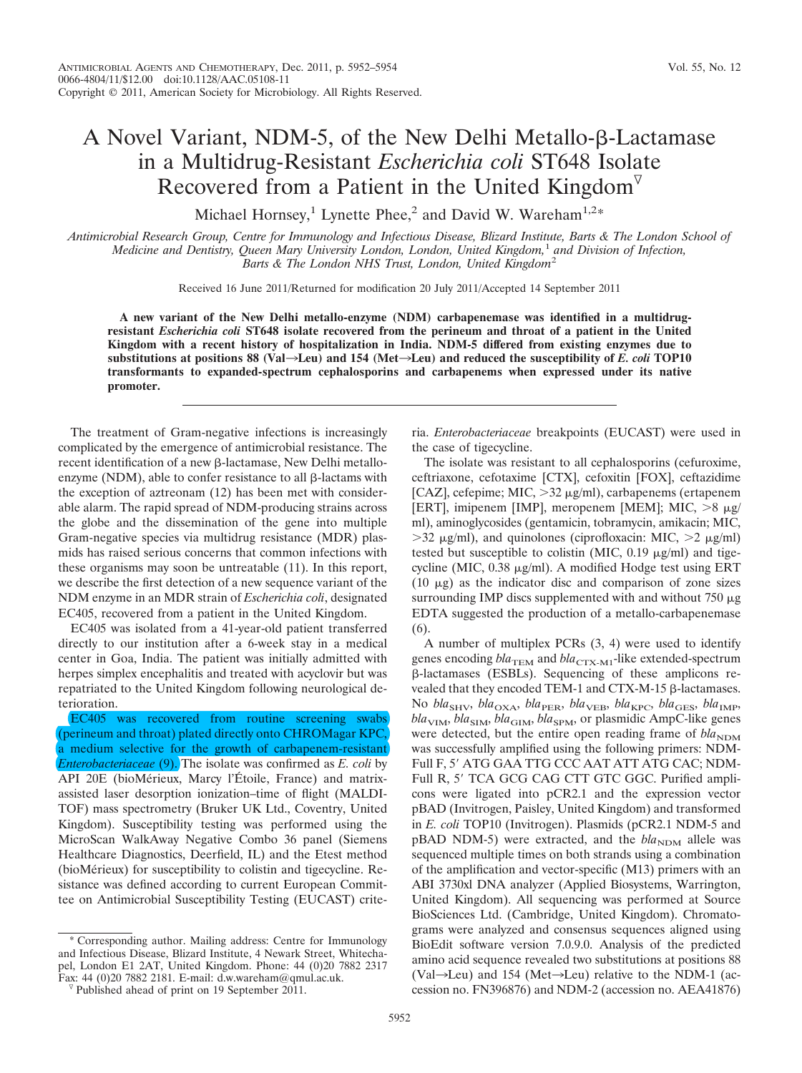## A Novel Variant, NDM-5, of the New Delhi Metallo- $\beta$ -Lactamase in a Multidrug-Resistant *Escherichia coli* ST648 Isolate Recovered from a Patient in the United Kingdom

Michael Hornsey,<sup>1</sup> Lynette Phee,<sup>2</sup> and David W. Wareham<sup>1,2\*</sup>

*Antimicrobial Research Group, Centre for Immunology and Infectious Disease, Blizard Institute, Barts & The London School of Medicine and Dentistry, Queen Mary University London, London, United Kingdom,*<sup>1</sup> *and Division of Infection, Barts & The London NHS Trust, London, United Kingdom*<sup>2</sup>

Received 16 June 2011/Returned for modification 20 July 2011/Accepted 14 September 2011

**A new variant of the New Delhi metallo-enzyme (NDM) carbapenemase was identified in a multidrugresistant** *Escherichia coli* **ST648 isolate recovered from the perineum and throat of a patient in the United Kingdom with a recent history of hospitalization in India. NDM-5 differed from existing enzymes due to** substitutions at positions 88 (Val $\rightarrow$ Leu) and 154 (Met $\rightarrow$ Leu) and reduced the susceptibility of *E. coli* **TOP10 transformants to expanded-spectrum cephalosporins and carbapenems when expressed under its native promoter.**

The treatment of Gram-negative infections is increasingly complicated by the emergence of antimicrobial resistance. The recent identification of a new  $\beta$ -lactamase, New Delhi metalloenzyme (NDM), able to confer resistance to all  $\beta$ -lactams with the exception of aztreonam (12) has been met with considerable alarm. The rapid spread of NDM-producing strains across the globe and the dissemination of the gene into multiple Gram-negative species via multidrug resistance (MDR) plasmids has raised serious concerns that common infections with these organisms may soon be untreatable (11). In this report, we describe the first detection of a new sequence variant of the NDM enzyme in an MDR strain of *Escherichia coli*, designated EC405, recovered from a patient in the United Kingdom.

EC405 was isolated from a 41-year-old patient transferred directly to our institution after a 6-week stay in a medical center in Goa, India. The patient was initially admitted with herpes simplex encephalitis and treated with acyclovir but was repatriated to the United Kingdom following neurological deterioration.

EC405 was recovered from routine screening swabs (perineum and throat) plated directly onto CHROMagar KPC, a medium selective for the growth of carbapenem-resistant *Enterobacteriaceae* (9). The isolate was confirmed as *E. coli* by API 20E (bioMérieux, Marcy l'Étoile, France) and matrixassisted laser desorption ionization–time of flight (MALDI-TOF) mass spectrometry (Bruker UK Ltd., Coventry, United Kingdom). Susceptibility testing was performed using the MicroScan WalkAway Negative Combo 36 panel (Siemens Healthcare Diagnostics, Deerfield, IL) and the Etest method (bioMérieux) for susceptibility to colistin and tigecycline. Resistance was defined according to current European Committee on Antimicrobial Susceptibility Testing (EUCAST) crite-

Corresponding author. Mailing address: Centre for Immunology and Infectious Disease, Blizard Institute, 4 Newark Street, Whitechapel, London E1 2AT, United Kingdom. Phone: 44 (0)20 7882 2317 Fax: 44 (0)20 7882 2181. E-mail: d.w.wareham@qmul.ac.uk. ria. *Enterobacteriaceae* breakpoints (EUCAST) were used in the case of tigecycline.

The isolate was resistant to all cephalosporins (cefuroxime, ceftriaxone, cefotaxime [CTX], cefoxitin [FOX], ceftazidime [CAZ], cefepime; MIC,  $>$ 32  $\mu$ g/ml), carbapenems (ertapenem [ERT], imipenem [IMP], meropenem [MEM]; MIC,  $>8 \mu g$ / ml), aminoglycosides (gentamicin, tobramycin, amikacin; MIC,  $>$ 32  $\mu$ g/ml), and quinolones (ciprofloxacin: MIC,  $>$ 2  $\mu$ g/ml) tested but susceptible to colistin (MIC,  $0.19 \mu g/ml$ ) and tigecycline (MIC,  $0.38 \mu g/ml$ ). A modified Hodge test using ERT (10  $\mu$ g) as the indicator disc and comparison of zone sizes surrounding IMP discs supplemented with and without  $750 \mu g$ EDTA suggested the production of a metallo-carbapenemase (6).

A number of multiplex PCRs (3, 4) were used to identify genes encoding  $bla_{\text{TEM}}$  and  $bla_{\text{CTX-MI}}$ -like extended-spectrum -lactamases (ESBLs). Sequencing of these amplicons revealed that they encoded TEM-1 and CTX-M-15  $\beta$ -lactamases. No *bla*<sub>SHV</sub>, *bla*<sub>OXA</sub>, *bla*<sub>PER</sub>, *bla*<sub>VEB</sub>, *bla*<sub>KPC</sub>, *bla*<sub>GES</sub>, *bla*<sub>IMP</sub>, *bla*<sub>VIM</sub>, *bla*<sub>SIM</sub>, *bla*<sub>GIM</sub>, *bla*<sub>SPM</sub>, or plasmidic AmpC-like genes were detected, but the entire open reading frame of  $bla_{\text{NDM}}$ was successfully amplified using the following primers: NDM-Full F, 5' ATG GAA TTG CCC AAT ATT ATG CAC; NDM-Full R, 5' TCA GCG CAG CTT GTC GGC. Purified amplicons were ligated into pCR2.1 and the expression vector pBAD (Invitrogen, Paisley, United Kingdom) and transformed in *E. coli* TOP10 (Invitrogen). Plasmids (pCR2.1 NDM-5 and pBAD NDM-5) were extracted, and the *bla*<sub>NDM</sub> allele was sequenced multiple times on both strands using a combination of the amplification and vector-specific (M13) primers with an ABI 3730xl DNA analyzer (Applied Biosystems, Warrington, United Kingdom). All sequencing was performed at Source BioSciences Ltd. (Cambridge, United Kingdom). Chromatograms were analyzed and consensus sequences aligned using BioEdit software version 7.0.9.0. Analysis of the predicted amino acid sequence revealed two substitutions at positions 88 (Val $\rightarrow$ Leu) and 154 (Met $\rightarrow$ Leu) relative to the NDM-1 (accession no. FN396876) and NDM-2 (accession no. AEA41876)

Published ahead of print on 19 September 2011.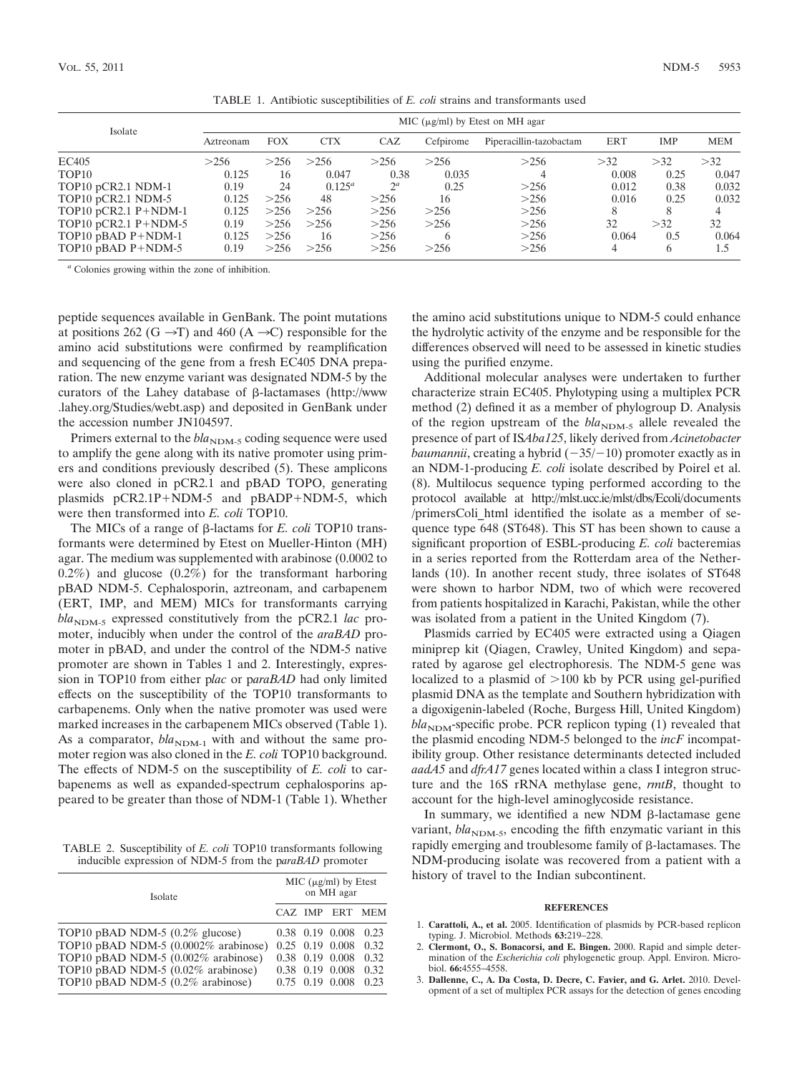| Isolate                 | MIC ( $\mu$ g/ml) by Etest on MH agar |            |            |       |           |                         |       |      |            |  |  |
|-------------------------|---------------------------------------|------------|------------|-------|-----------|-------------------------|-------|------|------------|--|--|
|                         | Aztreonam                             | <b>FOX</b> | <b>CTX</b> | CAZ   | Cefpirome | Piperacillin-tazobactam | ERT   | IMP  | <b>MEM</b> |  |  |
| EC405                   | >256                                  | >256       | >256       | >256  | >256      | >256                    | >32   | >32  | >32        |  |  |
| TOP <sub>10</sub>       | 0.125                                 | 16         | 0.047      | 0.38  | 0.035     |                         | 0.008 | 0.25 | 0.047      |  |  |
| TOP10 pCR2.1 NDM-1      | 0.19                                  | 24         | $0.125^a$  | $2^a$ | 0.25      | >256                    | 0.012 | 0.38 | 0.032      |  |  |
| TOP10 pCR2.1 NDM-5      | 0.125                                 | >256       | 48         | >256  | 16        | >256                    | 0.016 | 0.25 | 0.032      |  |  |
| TOP10 pCR2.1 $P+NDM-1$  | 0.125                                 | >256       | >256       | >256  | >256      | >256                    | 8     |      | 4          |  |  |
| TOP10 pCR2.1 $P+NDM-5$  | 0.19                                  | >256       | >256       | >256  | >256      | >256                    | 32    | >32  | 32         |  |  |
| TOP10 $p$ BAD $P+NDM-1$ | 0.125                                 | >256       | 16         | >256  | 6         | >256                    | 0.064 | 0.5  | 0.064      |  |  |
| TOP10 $p$ BAD P+NDM-5   | 0.19                                  | >256       | >256       | >256  | >256      | >256                    |       | 6    | 1.5        |  |  |

TABLE 1. Antibiotic susceptibilities of *E. coli* strains and transformants used

*<sup>a</sup>* Colonies growing within the zone of inhibition.

peptide sequences available in GenBank. The point mutations at positions 262 (G  $\rightarrow$ T) and 460 (A  $\rightarrow$ C) responsible for the amino acid substitutions were confirmed by reamplification and sequencing of the gene from a fresh EC405 DNA preparation. The new enzyme variant was designated NDM-5 by the curators of the Lahey database of  $\beta$ -lactamases (http://www .lahey.org/Studies/webt.asp) and deposited in GenBank under the accession number JN104597.

Primers external to the *bla*<sub>NDM-5</sub> coding sequence were used to amplify the gene along with its native promoter using primers and conditions previously described (5). These amplicons were also cloned in pCR2.1 and pBAD TOPO, generating plasmids  $pCR2.1P + NDM-5$  and  $pBADP + NDM-5$ , which were then transformed into *E. coli* TOP10.

The MICs of a range of  $\beta$ -lactams for *E. coli* TOP10 transformants were determined by Etest on Mueller-Hinton (MH) agar. The medium was supplemented with arabinose (0.0002 to 0.2%) and glucose (0.2%) for the transformant harboring pBAD NDM-5. Cephalosporin, aztreonam, and carbapenem (ERT, IMP, and MEM) MICs for transformants carrying *bla*<sub>NDM-5</sub> expressed constitutively from the pCR2.1 *lac* promoter, inducibly when under the control of the *araBAD* promoter in pBAD, and under the control of the NDM-5 native promoter are shown in Tables 1 and 2. Interestingly, expression in TOP10 from either p*lac* or p*araBAD* had only limited effects on the susceptibility of the TOP10 transformants to carbapenems. Only when the native promoter was used were marked increases in the carbapenem MICs observed (Table 1). As a comparator,  $bla_{NDM-1}$  with and without the same promoter region was also cloned in the *E. coli* TOP10 background. The effects of NDM-5 on the susceptibility of *E. coli* to carbapenems as well as expanded-spectrum cephalosporins appeared to be greater than those of NDM-1 (Table 1). Whether

TABLE 2. Susceptibility of *E. coli* TOP10 transformants following inducible expression of NDM-5 from the p*araBAD* promoter

| Isolate                                                                                                                                                                                         | MIC $(\mu g/ml)$ by Etest<br>on MH agar |  |                                                                                                   |                                      |  |
|-------------------------------------------------------------------------------------------------------------------------------------------------------------------------------------------------|-----------------------------------------|--|---------------------------------------------------------------------------------------------------|--------------------------------------|--|
|                                                                                                                                                                                                 |                                         |  | CAZ IMP ERT                                                                                       | <b>MEM</b>                           |  |
| TOP10 pBAD NDM-5 (0.2% glucose)<br>TOP10 pBAD NDM-5 $(0.0002\%$ arabinose)<br>TOP10 pBAD NDM-5 $(0.002\%$ arabinose)<br>TOP10 pBAD NDM-5 (0.02% arabinose)<br>TOP10 pBAD NDM-5 (0.2% arabinose) |                                         |  | $0.38$ 0.19 0.008<br>$0.25$ 0.19 0.008<br>0.38 0.19 0.008<br>0.38 0.19 0.008<br>$0.75$ 0.19 0.008 | 0.23<br>0.32<br>0.32<br>0.32<br>0.23 |  |

the amino acid substitutions unique to NDM-5 could enhance the hydrolytic activity of the enzyme and be responsible for the differences observed will need to be assessed in kinetic studies using the purified enzyme.

Additional molecular analyses were undertaken to further characterize strain EC405. Phylotyping using a multiplex PCR method (2) defined it as a member of phylogroup D. Analysis of the region upstream of the  $bla_{\text{NDM-5}}$  allele revealed the presence of part of IS*Aba125*, likely derived from *Acinetobacter baumannii*, creating a hybrid  $(-35/-10)$  promoter exactly as in an NDM-1-producing *E. coli* isolate described by Poirel et al. (8). Multilocus sequence typing performed according to the protocol available at http://mlst.ucc.ie/mlst/dbs/Ecoli/documents /primersColi\_html identified the isolate as a member of sequence type 648 (ST648). This ST has been shown to cause a significant proportion of ESBL-producing *E. coli* bacteremias in a series reported from the Rotterdam area of the Netherlands (10). In another recent study, three isolates of ST648 were shown to harbor NDM, two of which were recovered from patients hospitalized in Karachi, Pakistan, while the other was isolated from a patient in the United Kingdom (7).

Plasmids carried by EC405 were extracted using a Qiagen miniprep kit (Qiagen, Crawley, United Kingdom) and separated by agarose gel electrophoresis. The NDM-5 gene was localized to a plasmid of  $>100$  kb by PCR using gel-purified plasmid DNA as the template and Southern hybridization with a digoxigenin-labeled (Roche, Burgess Hill, United Kingdom)  $bla<sub>NDM</sub>$ -specific probe. PCR replicon typing (1) revealed that the plasmid encoding NDM-5 belonged to the *incF* incompatibility group. Other resistance determinants detected included *aadA5* and *dfrA17* genes located within a class I integron structure and the 16S rRNA methylase gene, *rmtB*, thought to account for the high-level aminoglycoside resistance.

In summary, we identified a new NDM  $\beta$ -lactamase gene variant,  $bla_{NDM-5}$ , encoding the fifth enzymatic variant in this rapidly emerging and troublesome family of  $\beta$ -lactamases. The NDM-producing isolate was recovered from a patient with a history of travel to the Indian subcontinent.

## **REFERENCES**

- 1. **Carattoli, A., et al.** 2005. Identification of plasmids by PCR-based replicon typing. J. Microbiol. Methods **63:**219–228.
- 2. **Clermont, O., S. Bonacorsi, and E. Bingen.** 2000. Rapid and simple determination of the *Escherichia coli* phylogenetic group. Appl. Environ. Microbiol. **66:**4555–4558.
- 3. **Dallenne, C., A. Da Costa, D. Decre, C. Favier, and G. Arlet.** 2010. Development of a set of multiplex PCR assays for the detection of genes encoding